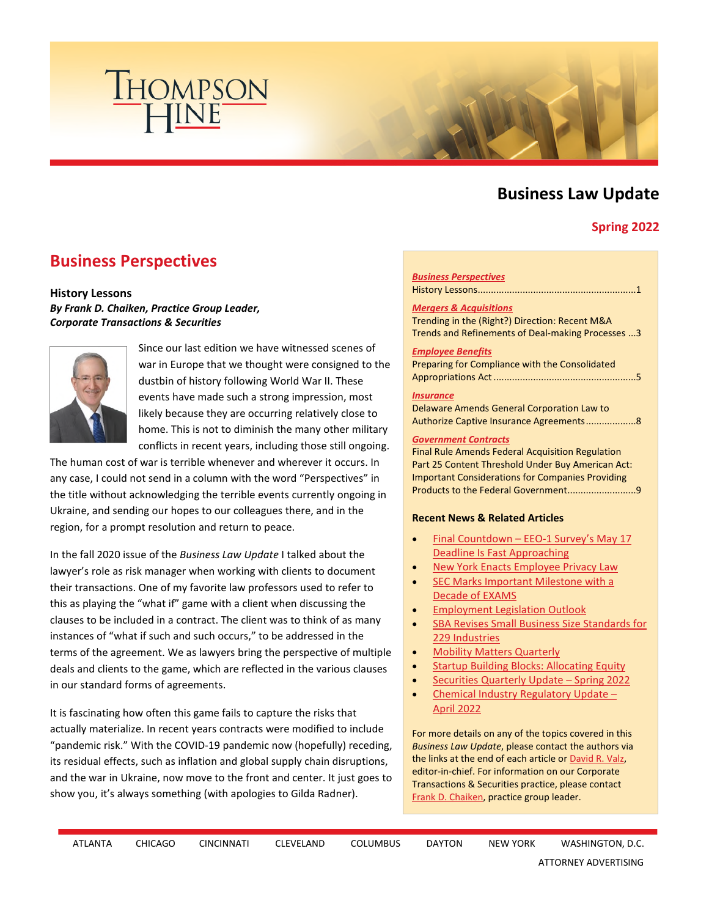

# **Business Law Update**

## **Spring 2022**

# <span id="page-0-0"></span>**Business Perspectives**

#### **History Lessons**

### *By Frank D. Chaiken, Practice Group Leader, Corporate Transactions & Securities*



Since our last edition we have witnessed scenes of war in Europe that we thought were consigned to the dustbin of history following World War II. These events have made such a strong impression, most likely because they are occurring relatively close to home. This is not to diminish the many other military conflicts in recent years, including those still ongoing.

The human cost of war is terrible whenever and wherever it occurs. In any case, I could not send in a column with the word "Perspectives" in the title without acknowledging the terrible events currently ongoing in Ukraine, and sending our hopes to our colleagues there, and in the region, for a prompt resolution and return to peace.

In the fall 2020 issue of the *Business Law Update* I talked about the lawyer's role as risk manager when working with clients to document their transactions. One of my favorite law professors used to refer to this as playing the "what if" game with a client when discussing the clauses to be included in a contract. The client was to think of as many instances of "what if such and such occurs," to be addressed in the terms of the agreement. We as lawyers bring the perspective of multiple deals and clients to the game, which are reflected in the various clauses in our standard forms of agreements.

It is fascinating how often this game fails to capture the risks that actually materialize. In recent years contracts were modified to include "pandemic risk." With the COVID-19 pandemic now (hopefully) receding, its residual effects, such as inflation and global supply chain disruptions, and the war in Ukraine, now move to the front and center. It just goes to show you, it's always something (with apologies to Gilda Radner).

#### *[Business Perspectives](#page-0-0)*

History Lessons ............................................................1

#### *[Mergers & Acquisitions](#page-2-0)*

Trending in the (Right?) Direction: Recent M&A Trends and Refinements of Deal-making Processes ...3

#### *[Employee Benefits](#page-4-0)*

Preparing for Compliance with the Consolidated Appropriations Act ......................................................5

#### *[Insurance](#page-7-0)*

Delaware Amends General Corporation Law to Authorize Captive Insurance Agreements ...................8

#### *[Government Contracts](#page-8-0)*

Final Rule Amends Federal Acquisition Regulation Part 25 Content Threshold Under Buy American Act: Important Considerations for Companies Providing Products to the Federal Government..............................9

#### **Recent News & Related Articles**

- Final Countdown EEO-1 Survey's May 17 [Deadline Is Fast Approaching](https://www.thompsonhine.com/publications/final-countdown-eeo-1-surveys-may-17-deadline-is-fast-approaching)
- [New York Enacts Employee Privacy Law](https://www.thompsonhine.com/publications/new-york-enacts-employee-privacy-law)
- SEC Marks Important Milestone with a [Decade of EXAMS](https://www.thompsonhine.com/publications/sec-marks-important-milestone-with-a-decade-of-exams)
- [Employment Legislation Outlook](https://www.thompsonhine.com/publications/employment-legislation-outlook-1)
- [SBA Revises Small Business Size Standards for](https://www.thompsonhine.com/publications/sba-revises-small-business-size-standards-for-229-industries)  [229 Industries](https://www.thompsonhine.com/publications/sba-revises-small-business-size-standards-for-229-industries)
- [Mobility Matters Quarterly](https://www.thompsonhine.com/publications/mobility-matters-quarterly---april-2022)
- [Startup Building Blocks: Allocating Equity](https://www.thompsonhine.com/publications/startup-building-blocks-allocating-equity)
- [Securities Quarterly Update Spring 2022](https://www.thompsonhine.com/publications/securities-quarterly-update---spring-2022)
- [Chemical Industry Regulatory Update](https://www.thompsonhine.com/publications/chemical-industry-regulatory-update---april-2022)  [April 2022](https://www.thompsonhine.com/publications/chemical-industry-regulatory-update---april-2022)

For more details on any of the topics covered in this *Business Law Update*, please contact the authors via the links at the end of each article o[r David R. Valz,](http://www.thompsonhine.com/professionals/valz-david) editor-in-chief. For information on our Corporate Transactions & Securities practice, please contact [Frank D. Chaiken,](http://www.thompsonhine.com/professionals/chaiken-frank) practice group leader.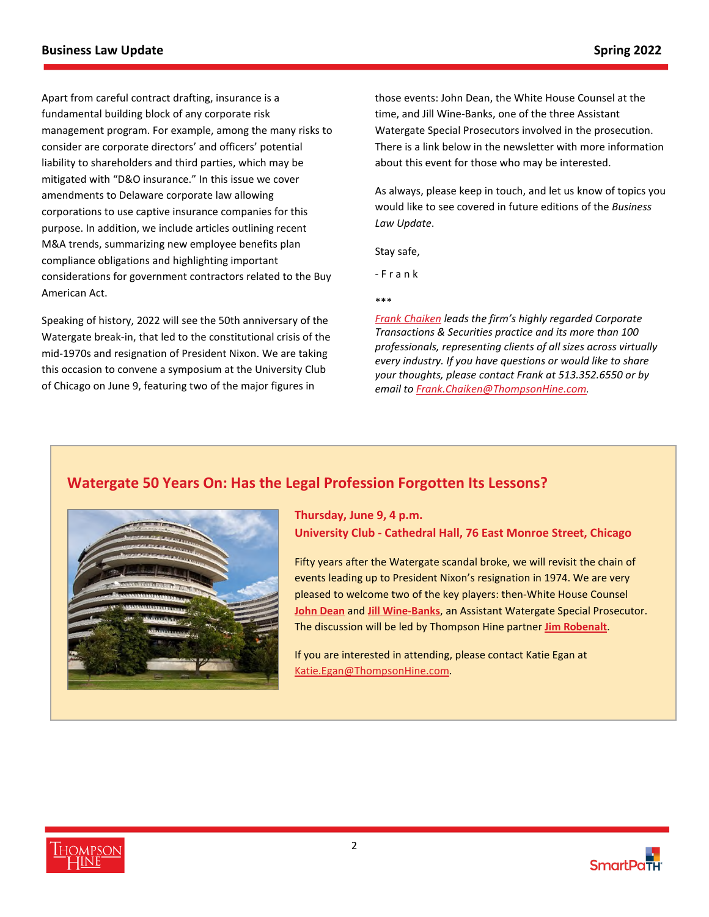Apart from careful contract drafting, insurance is a fundamental building block of any corporate risk management program. For example, among the many risks to consider are corporate directors' and officers' potential liability to shareholders and third parties, which may be mitigated with "D&O insurance." In this issue we cover amendments to Delaware corporate law allowing corporations to use captive insurance companies for this purpose. In addition, we include articles outlining recent M&A trends, summarizing new employee benefits plan compliance obligations and highlighting important considerations for government contractors related to the Buy American Act.

Speaking of history, 2022 will see the 50th anniversary of the Watergate break-in, that led to the constitutional crisis of the mid-1970s and resignation of President Nixon. We are taking this occasion to convene a symposium at the University Club of Chicago on June 9, featuring two of the major figures in

those events: John Dean, the White House Counsel at the time, and Jill Wine-Banks, one of the three Assistant Watergate Special Prosecutors involved in the prosecution. There is a link below in the newsletter with more information about this event for those who may be interested.

As always, please keep in touch, and let us know of topics you would like to see covered in future editions of the *Business Law Update*.

Stay safe,

- F r a n k

\*\*\*

*[Frank Chaiken l](http://www.thompsonhine.com/professionals/chaiken-frank)eads the firm's highly regarded Corporate Transactions & Securities practice and its more than 100 professionals, representing clients of all sizes across virtually every industry. If you have questions or would like to share your thoughts, please contact Frank at 513.352.6550 or by email t[o Frank.Chaiken@ThompsonHine.com](mailto:Frank.Chaiken@ThompsonHine.com).*

# **Watergate 50 Years On: Has the Legal Profession Forgotten Its Lessons?**



**Thursday, June 9, 4 p.m. University Club - Cathedral Hall, 76 East Monroe Street, Chicago**

Fifty years after the Watergate scandal broke, we will revisit the chain of events leading up to President Nixon's resignation in 1974. We are very pleased to welcome two of the key players: then-White House Counsel **[John Dean](https://en.wikipedia.org/wiki/John_Dean)** and **[Jill Wine-Banks](https://www.jillwinebanks.com/)**, an Assistant Watergate Special Prosecutor. The discussion will be led by Thompson Hine partner **[Jim Robenalt](https://www.thompsonhine.com/professionals/robenalt-james)**.

If you are interested in attending, please contact Katie Egan at [Katie.Egan@ThompsonHine.com.](mailto:Katie.Egan@ThompsonHine.com?subject=Watergate%2050%20Years%20On)



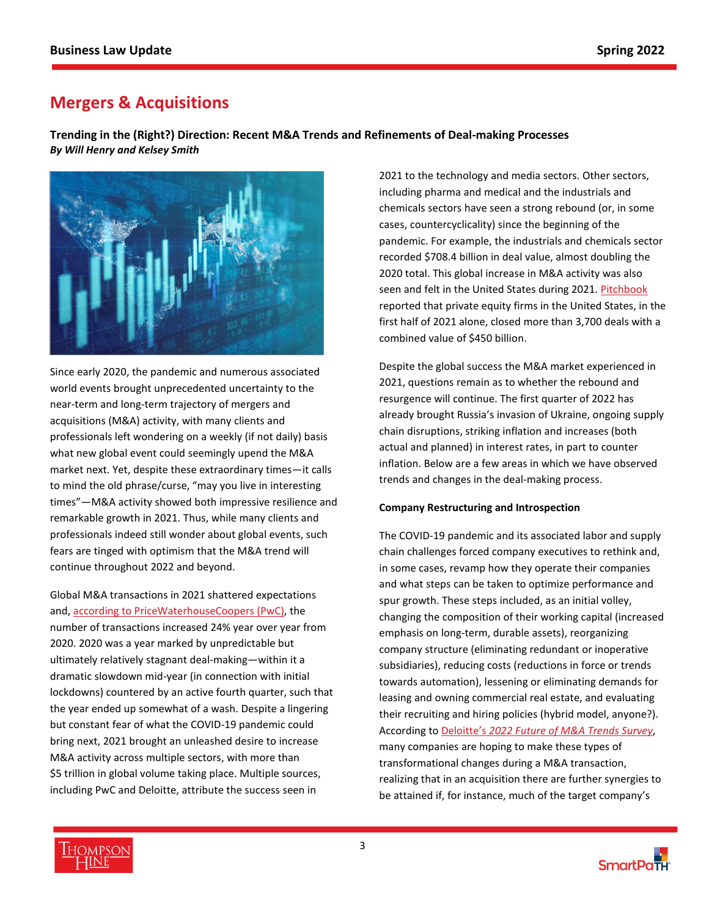# <span id="page-2-0"></span>**Mergers & Acquisitions**

**Trending in the (Right?) Direction: Recent M&A Trends and Refinements of Deal-making Processes**  *By Will Henry and Kelsey Smith*



Since early 2020, the pandemic and numerous associated world events brought unprecedented uncertainty to the near-term and long-term trajectory of mergers and acquisitions (M&A) activity, with many clients and professionals left wondering on a weekly (if not daily) basis what new global event could seemingly upend the M&A market next. Yet, despite these extraordinary times—it calls to mind the old phrase/curse, "may you live in interesting times"—M&A activity showed both impressive resilience and remarkable growth in 2021. Thus, while many clients and professionals indeed still wonder about global events, such fears are tinged with optimism that the M&A trend will continue throughout 2022 and beyond.

Global M&A transactions in 2021 shattered expectations and[, according to PriceWaterhouseCoopers \(PwC\),](https://www.pwc.com/gx/en/services/deals/trends.html) the number of transactions increased 24% year over year from 2020. 2020 was a year marked by unpredictable but ultimately relatively stagnant deal-making—within it a dramatic slowdown mid-year (in connection with initial lockdowns) countered by an active fourth quarter, such that the year ended up somewhat of a wash. Despite a lingering but constant fear of what the COVID-19 pandemic could bring next, 2021 brought an unleashed desire to increase M&A activity across multiple sectors, with more than \$5 trillion in global volume taking place. Multiple sources, including PwC and Deloitte, attribute the success seen in

2021 to the technology and media sectors. Other sectors, including pharma and medical and the industrials and chemicals sectors have seen a strong rebound (or, in some cases, countercyclicality) since the beginning of the pandemic. For example, the industrials and chemicals sector recorded \$708.4 billion in deal value, almost doubling the 2020 total. This global increase in M&A activity was also seen and felt in the United States during 2021[. Pitchbook](https://pitchbook.com/news/reports/q2-2021-us-pe-breakdown) reported that private equity firms in the United States, in the first half of 2021 alone, closed more than 3,700 deals with a combined value of \$450 billion.

Despite the global success the M&A market experienced in 2021, questions remain as to whether the rebound and resurgence will continue. The first quarter of 2022 has already brought Russia's invasion of Ukraine, ongoing supply chain disruptions, striking inflation and increases (both actual and planned) in interest rates, in part to counter inflation. Below are a few areas in which we have observed trends and changes in the deal-making process.

### **Company Restructuring and Introspection**

The COVID-19 pandemic and its associated labor and supply chain challenges forced company executives to rethink and, in some cases, revamp how they operate their companies and what steps can be taken to optimize performance and spur growth. These steps included, as an initial volley, changing the composition of their working capital (increased emphasis on long-term, durable assets), reorganizing company structure (eliminating redundant or inoperative subsidiaries), reducing costs (reductions in force or trends towards automation), lessening or eliminating demands for leasing and owning commercial real estate, and evaluating their recruiting and hiring policies (hybrid model, anyone?). According to Deloitte's *[2022 Future of M&A Trends Survey](https://www2.deloitte.com/content/dam/Deloitte/us/Documents/mergers-acqisitions/us-deloitte-2022-mna-trends-report.pdf)*, many companies are hoping to make these types of transformational changes during a M&A transaction, realizing that in an acquisition there are further synergies to be attained if, for instance, much of the target company's



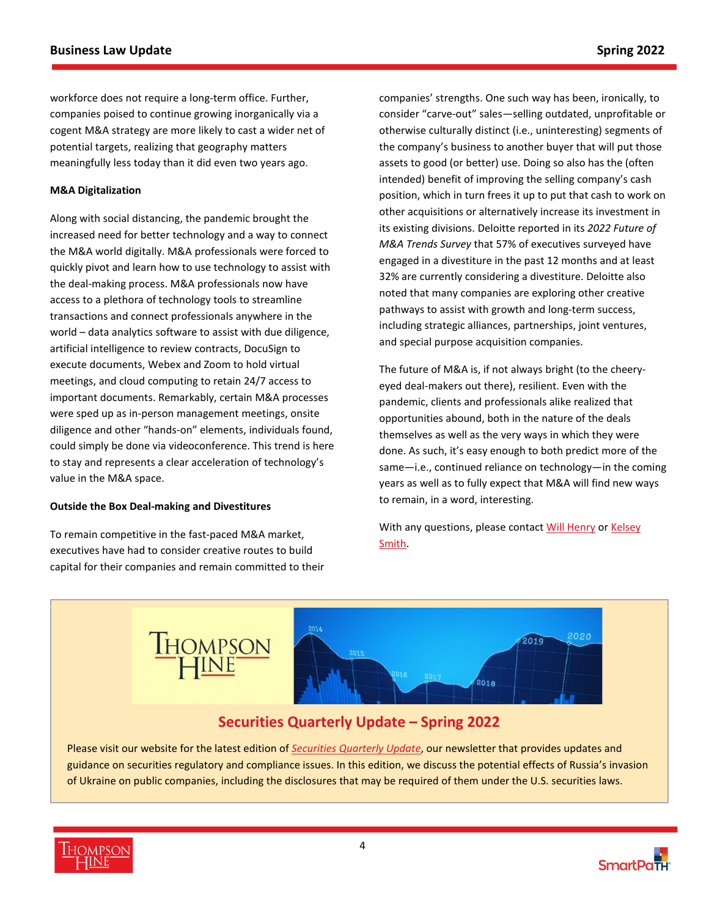workforce does not require a long-term office. Further, companies poised to continue growing inorganically via a cogent M&A strategy are more likely to cast a wider net of potential targets, realizing that geography matters meaningfully less today than it did even two years ago.

## **M&A Digitalization**

Along with social distancing, the pandemic brought the increased need for better technology and a way to connect the M&A world digitally. M&A professionals were forced to quickly pivot and learn how to use technology to assist with the deal-making process. M&A professionals now have access to a plethora of technology tools to streamline transactions and connect professionals anywhere in the world – data analytics software to assist with due diligence, artificial intelligence to review contracts, DocuSign to execute documents, Webex and Zoom to hold virtual meetings, and cloud computing to retain 24/7 access to important documents. Remarkably, certain M&A processes were sped up as in-person management meetings, onsite diligence and other "hands-on" elements, individuals found, could simply be done via videoconference. This trend is here to stay and represents a clear acceleration of technology's value in the M&A space.

### **Outside the Box Deal-making and Divestitures**

To remain competitive in the fast-paced M&A market, executives have had to consider creative routes to build capital for their companies and remain committed to their companies' strengths. One such way has been, ironically, to consider "carve-out" sales—selling outdated, unprofitable or otherwise culturally distinct (i.e., uninteresting) segments of the company's business to another buyer that will put those assets to good (or better) use. Doing so also has the (often intended) benefit of improving the selling company's cash position, which in turn frees it up to put that cash to work on other acquisitions or alternatively increase its investment in its existing divisions. Deloitte reported in its *2022 Future of M&A Trends Survey* that 57% of executives surveyed have engaged in a divestiture in the past 12 months and at least 32% are currently considering a divestiture. Deloitte also noted that many companies are exploring other creative pathways to assist with growth and long-term success, including strategic alliances, partnerships, joint ventures, and special purpose acquisition companies.

The future of M&A is, if not always bright (to the cheeryeyed deal-makers out there), resilient. Even with the pandemic, clients and professionals alike realized that opportunities abound, both in the nature of the deals themselves as well as the very ways in which they were done. As such, it's easy enough to both predict more of the same—i.e., continued reliance on technology—in the coming years as well as to fully expect that M&A will find new ways to remain, in a word, interesting.

With any questions, please contact [Will Henry o](https://www.thompsonhine.com/professionals/henry-william)r Kelsey [Smith.](https://www.thompsonhine.com/professionals/smith-kelsey)



# **Securities Quarterly Update – Spring 2022**

Please visit our website for the latest edition of *[Securities Quarterly Update](https://www.thompsonhine.com/publications/securities-quarterly-update---spring-2022)*, our newsletter that provides updates and guidance on securities regulatory and compliance issues. In this edition, we discuss the potential effects of Russia's invasion of Ukraine on public companies, including the disclosures that may be required of them under the U.S. securities laws.

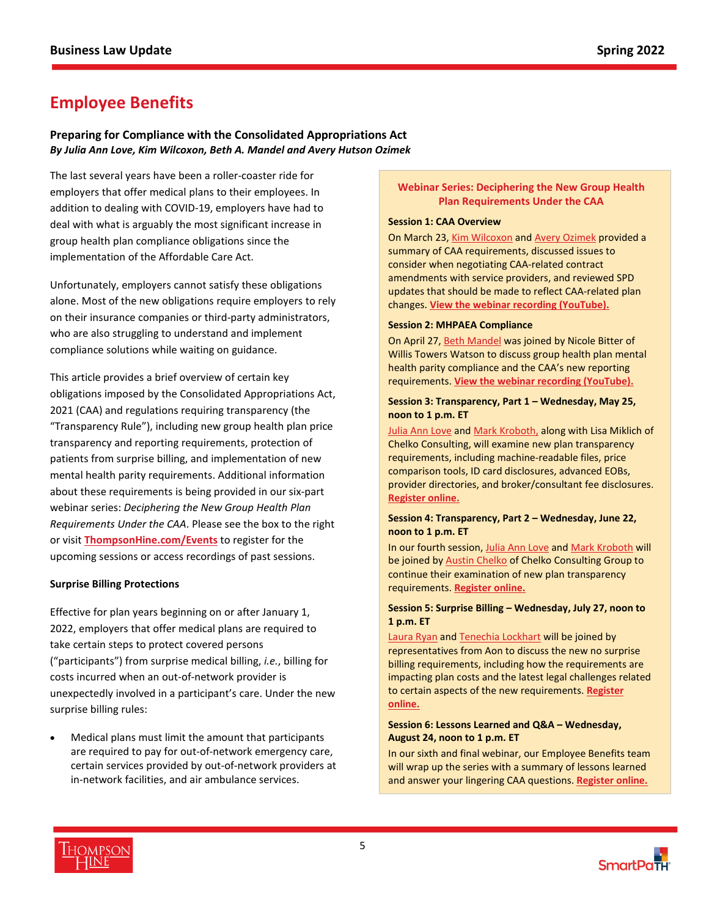# <span id="page-4-0"></span>**Employee Benefits**

## **Preparing for Compliance with the Consolidated Appropriations Act**  *By Julia Ann Love, Kim Wilcoxon, Beth A. Mandel and Avery Hutson Ozimek*

The last several years have been a roller-coaster ride for employers that offer medical plans to their employees. In addition to dealing with COVID-19, employers have had to deal with what is arguably the most significant increase in group health plan compliance obligations since the implementation of the Affordable Care Act.

Unfortunately, employers cannot satisfy these obligations alone. Most of the new obligations require employers to rely on their insurance companies or third-party administrators, who are also struggling to understand and implement compliance solutions while waiting on guidance.

This article provides a brief overview of certain key obligations imposed by the Consolidated Appropriations Act, 2021 (CAA) and regulations requiring transparency (the "Transparency Rule"), including new group health plan price transparency and reporting requirements, protection of patients from surprise billing, and implementation of new mental health parity requirements. Additional information about these requirements is being provided in our six-part webinar series: *Deciphering the New Group Health Plan Requirements Under the CAA*. Please see the box to the right or visit **[ThompsonHine.com/Events](https://www.thompsonhine.com/events/)** to register for the upcoming sessions or access recordings of past sessions.

### **Surprise Billing Protections**

Effective for plan years beginning on or after January 1, 2022, employers that offer medical plans are required to take certain steps to protect covered persons ("participants") from surprise medical billing, *i.e.*, billing for costs incurred when an out-of-network provider is unexpectedly involved in a participant's care. Under the new surprise billing rules:

 Medical plans must limit the amount that participants are required to pay for out-of-network emergency care, certain services provided by out-of-network providers at in-network facilities, and air ambulance services.

## **Webinar Series: Deciphering the New Group Health Plan Requirements Under the CAA**

#### **Session 1: CAA Overview**

On March 23[, Kim Wilcoxon](https://www.thompsonhine.com/professionals/wilcoxon-kim) and [Avery Ozimek](https://www.thompsonhine.com/professionals/ozimek-avery) provided a summary of CAA requirements, discussed issues to consider when negotiating CAA-related contract amendments with service providers, and reviewed SPD updates that should be made to reflect CAA-related plan changes. **[View the webinar recording \(YouTube\).](https://youtu.be/omd6tCtYid8)**

#### **Session 2: MHPAEA Compliance**

On April 27[, Beth Mandel](https://www.thompsonhine.com/professionals/mandel-beth) was joined by Nicole Bitter of Willis Towers Watson to discuss group health plan mental health parity compliance and the CAA's new reporting requirements. **[View the webinar recording \(YouTube\).](https://youtu.be/6dF5ICC2ibk)**

#### **Session 3: Transparency, Part 1 – Wednesday, May 25, noon to 1 p.m. ET**

[Julia Ann Love](https://www.thompsonhine.com/professionals/love-julia) and [Mark Kroboth,](https://www.thompsonhine.com/professionals/kroboth-mark) along with Lisa Miklich of Chelko Consulting, will examine new plan transparency requirements, including machine-readable files, price comparison tools, ID card disclosures, advanced EOBs, provider directories, and broker/consultant fee disclosures. **[Register online.](https://register.gotowebinar.com/register/1150431532364974605)**

#### **Session 4: Transparency, Part 2 – Wednesday, June 22, noon to 1 p.m. ET**

In our fourth session[, Julia Ann Love a](https://www.thompsonhine.com/professionals/love-julia)nd [Mark Kroboth](https://www.thompsonhine.com/professionals/kroboth-mark) will be joined by [Austin Chelko](https://chelkogroup.com/about/team/achelko/) of Chelko Consulting Group to continue their examination of new plan transparency requirements. **[Register online.](https://register.gotowebinar.com/register/1975728258708533519)**

### **Session 5: Surprise Billing – Wednesday, July 27, noon to 1 p.m. ET**

[Laura Ryan](https://www.thompsonhine.com/professionals/ryan-laura) and [Tenechia Lockhart](https://www.thompsonhine.com/professionals/lockhart-tenechia) will be joined by representatives from Aon to discuss the new no surprise billing requirements, including how the requirements are impacting plan costs and the latest legal challenges related to certain aspects of the new requirements. **[Register](https://register.gotowebinar.com/register/4484221156526037007)  [online.](https://register.gotowebinar.com/register/4484221156526037007)**

#### **Session 6: Lessons Learned and Q&A – Wednesday, August 24, noon to 1 p.m. ET**

In our sixth and final webinar, our Employee Benefits team will wrap up the series with a summary of lessons learned and answer your lingering CAA questions. **[Register online.](https://register.gotowebinar.com/register/1333643154902206733)**



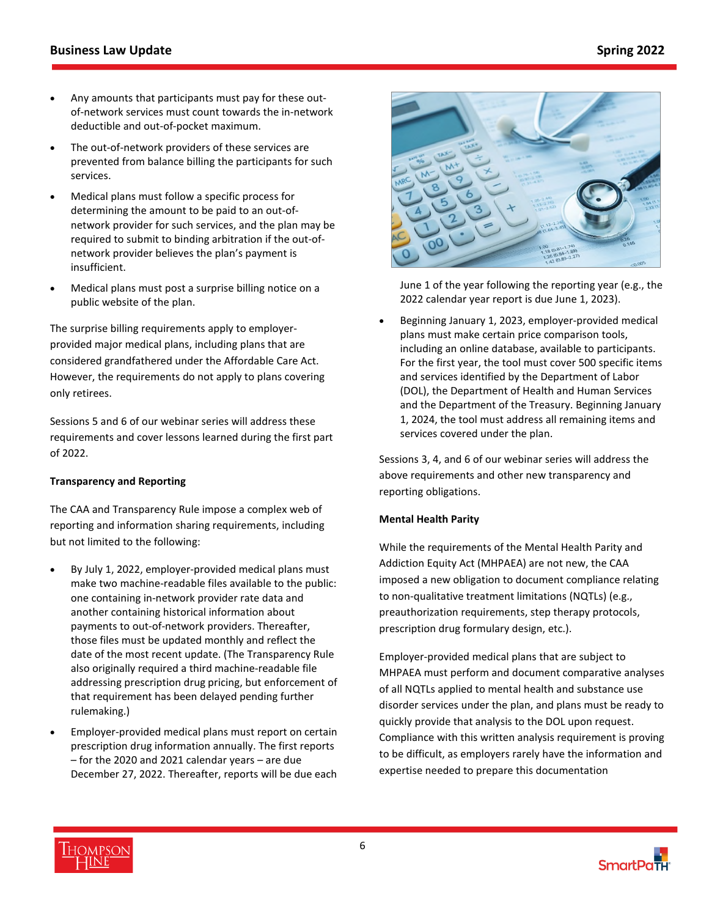- Any amounts that participants must pay for these outof-network services must count towards the in-network deductible and out-of-pocket maximum.
- The out-of-network providers of these services are prevented from balance billing the participants for such services.
- Medical plans must follow a specific process for determining the amount to be paid to an out-ofnetwork provider for such services, and the plan may be required to submit to binding arbitration if the out-ofnetwork provider believes the plan's payment is insufficient.
- Medical plans must post a surprise billing notice on a public website of the plan.

The surprise billing requirements apply to employerprovided major medical plans, including plans that are considered grandfathered under the Affordable Care Act. However, the requirements do not apply to plans covering only retirees.

Sessions 5 and 6 of our webinar series will address these requirements and cover lessons learned during the first part of 2022.

## **Transparency and Reporting**

The CAA and Transparency Rule impose a complex web of reporting and information sharing requirements, including but not limited to the following:

- By July 1, 2022, employer-provided medical plans must make two machine-readable files available to the public: one containing in-network provider rate data and another containing historical information about payments to out-of-network providers. Thereafter, those files must be updated monthly and reflect the date of the most recent update. (The Transparency Rule also originally required a third machine-readable file addressing prescription drug pricing, but enforcement of that requirement has been delayed pending further rulemaking.)
- Employer-provided medical plans must report on certain prescription drug information annually. The first reports – for the 2020 and 2021 calendar years – are due December 27, 2022. Thereafter, reports will be due each



June 1 of the year following the reporting year (e.g., the 2022 calendar year report is due June 1, 2023).

 Beginning January 1, 2023, employer-provided medical plans must make certain price comparison tools, including an online database, available to participants. For the first year, the tool must cover 500 specific items and services identified by the Department of Labor (DOL), the Department of Health and Human Services and the Department of the Treasury. Beginning January 1, 2024, the tool must address all remaining items and services covered under the plan.

Sessions 3, 4, and 6 of our webinar series will address the above requirements and other new transparency and reporting obligations.

## **Mental Health Parity**

While the requirements of the Mental Health Parity and Addiction Equity Act (MHPAEA) are not new, the CAA imposed a new obligation to document compliance relating to non-qualitative treatment limitations (NQTLs) (e.g., preauthorization requirements, step therapy protocols, prescription drug formulary design, etc.).

Employer-provided medical plans that are subject to MHPAEA must perform and document comparative analyses of all NQTLs applied to mental health and substance use disorder services under the plan, and plans must be ready to quickly provide that analysis to the DOL upon request. Compliance with this written analysis requirement is proving to be difficult, as employers rarely have the information and expertise needed to prepare this documentation

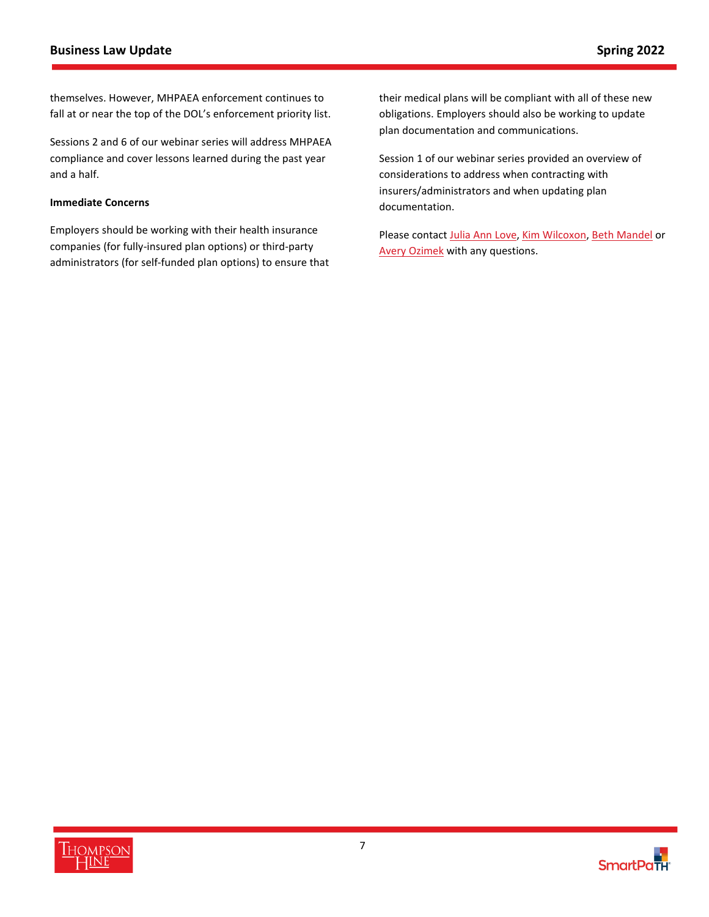themselves. However, MHPAEA enforcement continues to fall at or near the top of the DOL's enforcement priority list.

Sessions 2 and 6 of our webinar series will address MHPAEA compliance and cover lessons learned during the past year and a half.

### **Immediate Concerns**

Employers should be working with their health insurance companies (for fully-insured plan options) or third-party administrators (for self-funded plan options) to ensure that their medical plans will be compliant with all of these new obligations. Employers should also be working to update plan documentation and communications.

Session 1 of our webinar series provided an overview of considerations to address when contracting with insurers/administrators and when updating plan documentation.

Please contac[t Julia Ann Love,](https://www.thompsonhine.com/professionals/love-julia) [Kim Wilcoxon,](https://www.thompsonhine.com/professionals/wilcoxon-kim) [Beth Mandel](https://www.thompsonhine.com/professionals/mandel-beth) or [Avery Ozimek w](https://www.thompsonhine.com/professionals/ozimek-avery)ith any questions.

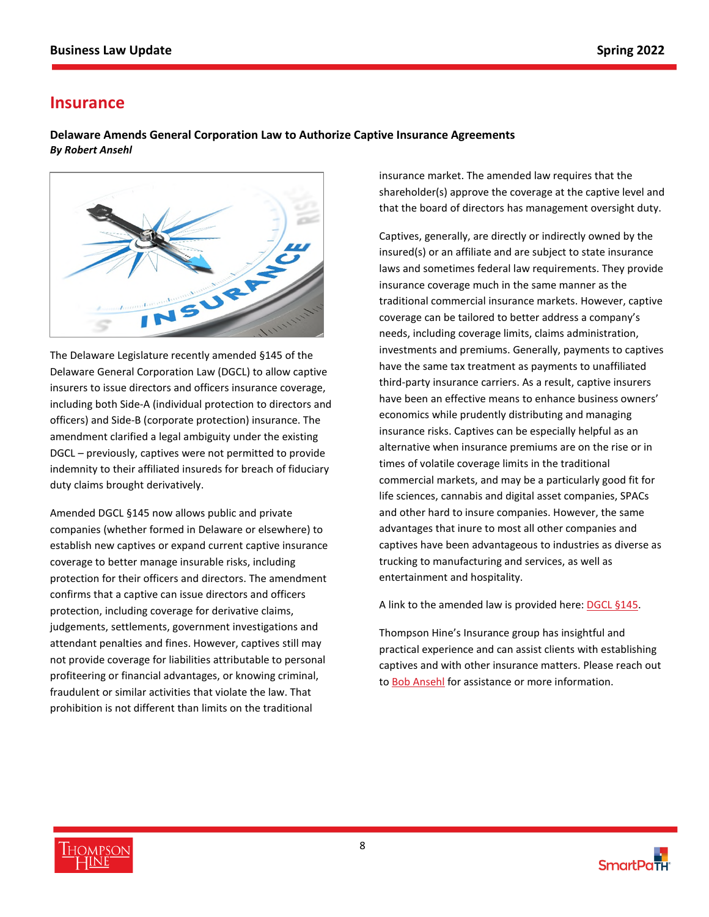# <span id="page-7-0"></span>**Insurance**

**Delaware Amends General Corporation Law to Authorize Captive Insurance Agreements** *By Robert Ansehl* 



The Delaware Legislature recently amended §145 of the Delaware General Corporation Law (DGCL) to allow captive insurers to issue directors and officers insurance coverage, including both Side-A (individual protection to directors and officers) and Side-B (corporate protection) insurance. The amendment clarified a legal ambiguity under the existing DGCL – previously, captives were not permitted to provide indemnity to their affiliated insureds for breach of fiduciary duty claims brought derivatively.

Amended DGCL §145 now allows public and private companies (whether formed in Delaware or elsewhere) to establish new captives or expand current captive insurance coverage to better manage insurable risks, including protection for their officers and directors. The amendment confirms that a captive can issue directors and officers protection, including coverage for derivative claims, judgements, settlements, government investigations and attendant penalties and fines. However, captives still may not provide coverage for liabilities attributable to personal profiteering or financial advantages, or knowing criminal, fraudulent or similar activities that violate the law. That prohibition is not different than limits on the traditional

insurance market. The amended law requires that the shareholder(s) approve the coverage at the captive level and that the board of directors has management oversight duty.

Captives, generally, are directly or indirectly owned by the insured(s) or an affiliate and are subject to state insurance laws and sometimes federal law requirements. They provide insurance coverage much in the same manner as the traditional commercial insurance markets. However, captive coverage can be tailored to better address a company's needs, including coverage limits, claims administration, investments and premiums. Generally, payments to captives have the same tax treatment as payments to unaffiliated third-party insurance carriers. As a result, captive insurers have been an effective means to enhance business owners' economics while prudently distributing and managing insurance risks. Captives can be especially helpful as an alternative when insurance premiums are on the rise or in times of volatile coverage limits in the traditional commercial markets, and may be a particularly good fit for life sciences, cannabis and digital asset companies, SPACs and other hard to insure companies. However, the same advantages that inure to most all other companies and captives have been advantageous to industries as diverse as trucking to manufacturing and services, as well as entertainment and hospitality.

A link to the amended law is provided here: [DGCL §145.](https://legis.delaware.gov/json/BillDetail/GenerateHtmlDocument?legislationId=79045&legislationTypeId=1&docTypeId=2&legislationName=SB203) 

Thompson Hine's Insurance group has insightful and practical experience and can assist clients with establishing captives and with other insurance matters. Please reach out to **Bob Ansehl** for assistance or more information.



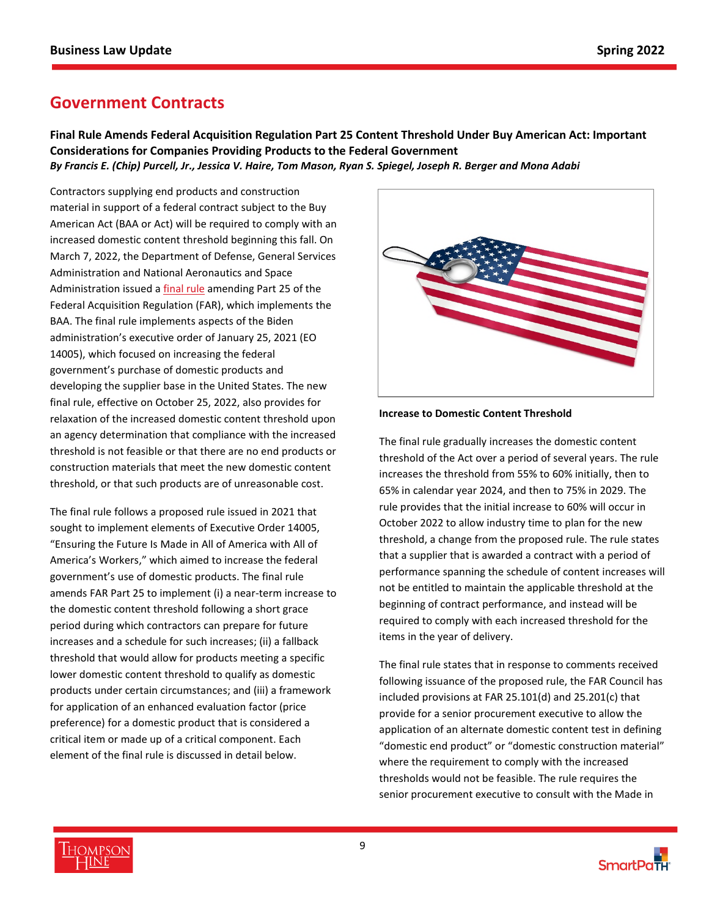# <span id="page-8-0"></span>**Government Contracts**

**Final Rule Amends Federal Acquisition Regulation Part 25 Content Threshold Under Buy American Act: Important Considerations for Companies Providing Products to the Federal Government**  *By Francis E. (Chip) Purcell, Jr., Jessica V. Haire, Tom Mason, Ryan S. Spiegel, Joseph R. Berger and Mona Adabi* 

Contractors supplying end products and construction material in support of a federal contract subject to the Buy American Act (BAA or Act) will be required to comply with an increased domestic content threshold beginning this fall. On March 7, 2022, the Department of Defense, General Services Administration and National Aeronautics and Space Administration issued a [final rule](https://www.federalregister.gov/documents/2022/03/07/2022-04173/federal-acquisition-regulation-amendments-to-the-far-buy-american-act-requirements) amending Part 25 of the Federal Acquisition Regulation (FAR), which implements the BAA. The final rule implements aspects of the Biden administration's executive order of January 25, 2021 (EO 14005), which focused on increasing the federal government's purchase of domestic products and developing the supplier base in the United States. The new final rule, effective on October 25, 2022, also provides for relaxation of the increased domestic content threshold upon an agency determination that compliance with the increased threshold is not feasible or that there are no end products or construction materials that meet the new domestic content threshold, or that such products are of unreasonable cost.

The final rule follows a proposed rule issued in 2021 that sought to implement elements of Executive Order 14005, "Ensuring the Future Is Made in All of America with All of America's Workers," which aimed to increase the federal government's use of domestic products. The final rule amends FAR Part 25 to implement (i) a near-term increase to the domestic content threshold following a short grace period during which contractors can prepare for future increases and a schedule for such increases; (ii) a fallback threshold that would allow for products meeting a specific lower domestic content threshold to qualify as domestic products under certain circumstances; and (iii) a framework for application of an enhanced evaluation factor (price preference) for a domestic product that is considered a critical item or made up of a critical component. Each element of the final rule is discussed in detail below.



### **Increase to Domestic Content Threshold**

The final rule gradually increases the domestic content threshold of the Act over a period of several years. The rule increases the threshold from 55% to 60% initially, then to 65% in calendar year 2024, and then to 75% in 2029. The rule provides that the initial increase to 60% will occur in October 2022 to allow industry time to plan for the new threshold, a change from the proposed rule. The rule states that a supplier that is awarded a contract with a period of performance spanning the schedule of content increases will not be entitled to maintain the applicable threshold at the beginning of contract performance, and instead will be required to comply with each increased threshold for the items in the year of delivery.

The final rule states that in response to comments received following issuance of the proposed rule, the FAR Council has included provisions at FAR 25.101(d) and 25.201(c) that provide for a senior procurement executive to allow the application of an alternate domestic content test in defining "domestic end product" or "domestic construction material" where the requirement to comply with the increased thresholds would not be feasible. The rule requires the senior procurement executive to consult with the Made in



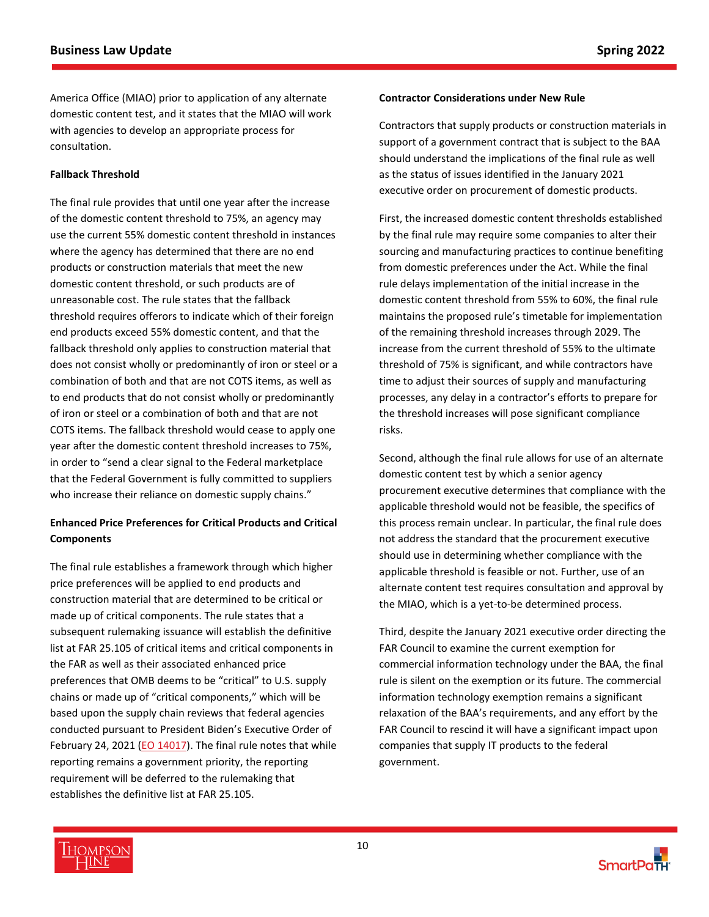America Office (MIAO) prior to application of any alternate domestic content test, and it states that the MIAO will work with agencies to develop an appropriate process for consultation.

## **Fallback Threshold**

The final rule provides that until one year after the increase of the domestic content threshold to 75%, an agency may use the current 55% domestic content threshold in instances where the agency has determined that there are no end products or construction materials that meet the new domestic content threshold, or such products are of unreasonable cost. The rule states that the fallback threshold requires offerors to indicate which of their foreign end products exceed 55% domestic content, and that the fallback threshold only applies to construction material that does not consist wholly or predominantly of iron or steel or a combination of both and that are not COTS items, as well as to end products that do not consist wholly or predominantly of iron or steel or a combination of both and that are not COTS items. The fallback threshold would cease to apply one year after the domestic content threshold increases to 75%, in order to "send a clear signal to the Federal marketplace that the Federal Government is fully committed to suppliers who increase their reliance on domestic supply chains."

# **Enhanced Price Preferences for Critical Products and Critical Components**

The final rule establishes a framework through which higher price preferences will be applied to end products and construction material that are determined to be critical or made up of critical components. The rule states that a subsequent rulemaking issuance will establish the definitive list at FAR 25.105 of critical items and critical components in the FAR as well as their associated enhanced price preferences that OMB deems to be "critical" to U.S. supply chains or made up of "critical components," which will be based upon the supply chain reviews that federal agencies conducted pursuant to President Biden's Executive Order of February 24, 2021 [\(EO 14017\)](https://www.whitehouse.gov/briefing-room/presidential-actions/2021/02/24/executive-order-on-americas-supply-chains/). The final rule notes that while reporting remains a government priority, the reporting requirement will be deferred to the rulemaking that establishes the definitive list at FAR 25.105.

### **Contractor Considerations under New Rule**

Contractors that supply products or construction materials in support of a government contract that is subject to the BAA should understand the implications of the final rule as well as the status of issues identified in the January 2021 executive order on procurement of domestic products.

First, the increased domestic content thresholds established by the final rule may require some companies to alter their sourcing and manufacturing practices to continue benefiting from domestic preferences under the Act. While the final rule delays implementation of the initial increase in the domestic content threshold from 55% to 60%, the final rule maintains the proposed rule's timetable for implementation of the remaining threshold increases through 2029. The increase from the current threshold of 55% to the ultimate threshold of 75% is significant, and while contractors have time to adjust their sources of supply and manufacturing processes, any delay in a contractor's efforts to prepare for the threshold increases will pose significant compliance risks.

Second, although the final rule allows for use of an alternate domestic content test by which a senior agency procurement executive determines that compliance with the applicable threshold would not be feasible, the specifics of this process remain unclear. In particular, the final rule does not address the standard that the procurement executive should use in determining whether compliance with the applicable threshold is feasible or not. Further, use of an alternate content test requires consultation and approval by the MIAO, which is a yet-to-be determined process.

Third, despite the January 2021 executive order directing the FAR Council to examine the current exemption for commercial information technology under the BAA, the final rule is silent on the exemption or its future. The commercial information technology exemption remains a significant relaxation of the BAA's requirements, and any effort by the FAR Council to rescind it will have a significant impact upon companies that supply IT products to the federal government.